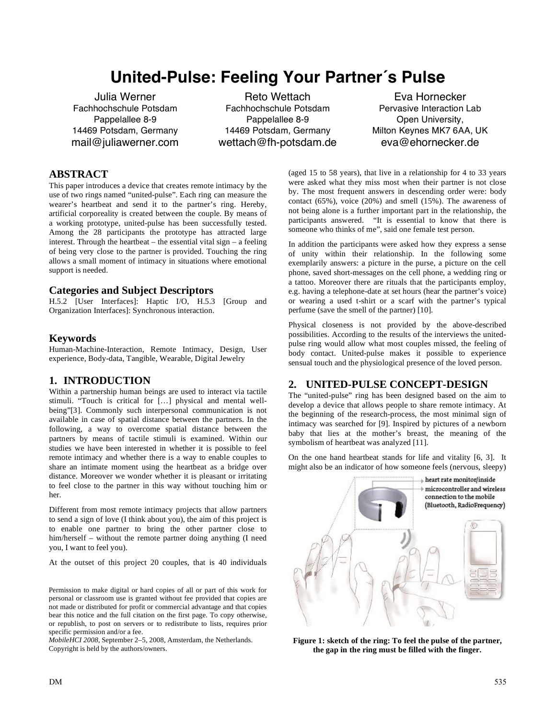# **United-Pulse: Feeling Your Partner´s Pulse**

Julia Werner Fachhochschule Potsdam Pappelallee 8-9 14469 Potsdam, Germany mail@juliawerner.com

Reto Wettach Fachhochschule Potsdam Pappelallee 8-9 14469 Potsdam, Germany wettach@fh-potsdam.de

Eva Hornecker Pervasive Interaction Lab Open University, Milton Keynes MK7 6AA, UK eva@ehornecker.de

## **ABSTRACT**

This paper introduces a device that creates remote intimacy by the use of two rings named "united-pulse". Each ring can measure the wearer's heartbeat and send it to the partner's ring. Hereby, artificial corporeality is created between the couple. By means of a working prototype, united-pulse has been successfully tested. Among the 28 participants the prototype has attracted large interest. Through the heartbeat – the essential vital sign – a feeling of being very close to the partner is provided. Touching the ring allows a small moment of intimacy in situations where emotional support is needed.

#### **Categories and Subject Descriptors**

H.5.2 [User Interfaces]: Haptic I/O, H.5.3 [Group and Organization Interfaces]: Synchronous interaction.

#### **Keywords**

Human-Machine-Interaction, Remote Intimacy, Design, User experience, Body-data, Tangible, Wearable, Digital Jewelry

#### **1. INTRODUCTION**

Within a partnership human beings are used to interact via tactile stimuli. "Touch is critical for […] physical and mental wellbeing"[3]. Commonly such interpersonal communication is not available in case of spatial distance between the partners. In the following, a way to overcome spatial distance between the partners by means of tactile stimuli is examined. Within our studies we have been interested in whether it is possible to feel remote intimacy and whether there is a way to enable couples to share an intimate moment using the heartbeat as a bridge over distance. Moreover we wonder whether it is pleasant or irritating to feel close to the partner in this way without touching him or her.

Different from most remote intimacy projects that allow partners to send a sign of love (I think about you), the aim of this project is to enable one partner to bring the other partner close to him/herself – without the remote partner doing anything (I need you, I want to feel you).

At the outset of this project 20 couples, that is 40 individuals

Permission to make digital or hard copies of all or part of this work for personal or classroom use is granted without fee provided that copies are not made or distributed for profit or commercial advantage and that copies bear this notice and the full citation on the first page. To copy otherwise, or republish, to post on servers or to redistribute to lists, requires prior specific permission and/or a fee.

*MobileHCI 2008*, September 2–5, 2008, Amsterdam, the Netherlands. Copyright is held by the authors/owners.

(aged 15 to 58 years), that live in a relationship for 4 to 33 years were asked what they miss most when their partner is not close by. The most frequent answers in descending order were: body contact (65%), voice (20%) and smell (15%). The awareness of not being alone is a further important part in the relationship, the participants answered. "It is essential to know that there is someone who thinks of me", said one female test person.

In addition the participants were asked how they express a sense of unity within their relationship. In the following some exemplarily answers: a picture in the purse, a picture on the cell phone, saved short-messages on the cell phone, a wedding ring or a tattoo. Moreover there are rituals that the participants employ, e.g. having a telephone-date at set hours (hear the partner's voice) or wearing a used t-shirt or a scarf with the partner's typical perfume (save the smell of the partner) [10].

Physical closeness is not provided by the above-described possibilities. According to the results of the interviews the unitedpulse ring would allow what most couples missed, the feeling of body contact. United-pulse makes it possible to experience sensual touch and the physiological presence of the loved person.

## **2. UNITED-PULSE CONCEPT-DESIGN**

The "united-pulse" ring has been designed based on the aim to develop a device that allows people to share remote intimacy. At the beginning of the research-process, the most minimal sign of intimacy was searched for [9]. Inspired by pictures of a newborn baby that lies at the mother's breast, the meaning of the symbolism of heartbeat was analyzed [11].

On the one hand heartbeat stands for life and vitality [6, 3]. It might also be an indicator of how someone feels (nervous, sleepy)



**Figure 1: sketch of the ring: To feel the pulse of the partner, the gap in the ring must be filled with the finger.**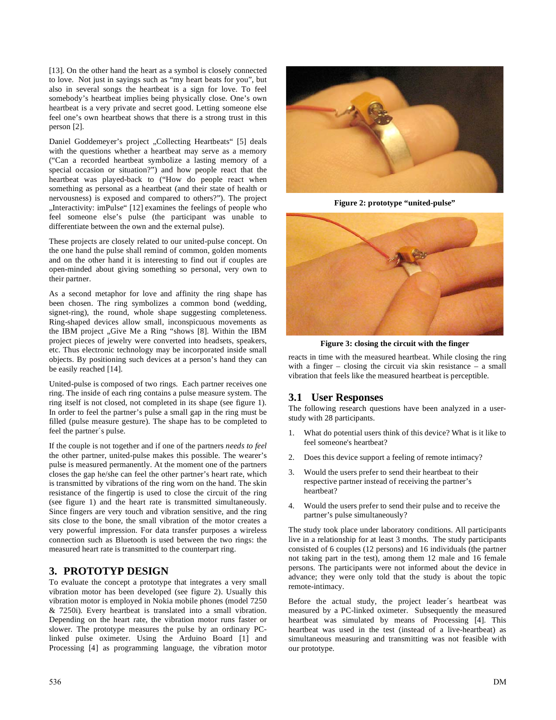[13]. On the other hand the heart as a symbol is closely connected to love. Not just in sayings such as "my heart beats for you", but also in several songs the heartbeat is a sign for love. To feel somebody's heartbeat implies being physically close. One's own heartbeat is a very private and secret good. Letting someone else feel one's own heartbeat shows that there is a strong trust in this person [2].

Daniel Goddemeyer's project ..Collecting Heartbeats" [5] deals with the questions whether a heartbeat may serve as a memory ("Can a recorded heartbeat symbolize a lasting memory of a special occasion or situation?") and how people react that the heartbeat was played-back to ("How do people react when something as personal as a heartbeat (and their state of health or nervousness) is exposed and compared to others?"). The project "Interactivity: imPulse" [12] examines the feelings of people who feel someone else's pulse (the participant was unable to differentiate between the own and the external pulse).

These projects are closely related to our united-pulse concept. On the one hand the pulse shall remind of common, golden moments and on the other hand it is interesting to find out if couples are open-minded about giving something so personal, very own to their partner.

As a second metaphor for love and affinity the ring shape has been chosen. The ring symbolizes a common bond (wedding, signet-ring), the round, whole shape suggesting completeness. Ring-shaped devices allow small, inconspicuous movements as the IBM project "Give Me a Ring "shows [8]. Within the IBM project pieces of jewelry were converted into headsets, speakers, etc. Thus electronic technology may be incorporated inside small objects. By positioning such devices at a person's hand they can be easily reached [14].

United-pulse is composed of two rings. Each partner receives one ring. The inside of each ring contains a pulse measure system. The ring itself is not closed, not completed in its shape (see figure 1). In order to feel the partner's pulse a small gap in the ring must be filled (pulse measure gesture). The shape has to be completed to feel the partner´s pulse.

If the couple is not together and if one of the partners *needs to feel* the other partner, united-pulse makes this possible. The wearer's pulse is measured permanently. At the moment one of the partners closes the gap he/she can feel the other partner's heart rate, which is transmitted by vibrations of the ring worn on the hand. The skin resistance of the fingertip is used to close the circuit of the ring (see figure 1) and the heart rate is transmitted simultaneously. Since fingers are very touch and vibration sensitive, and the ring sits close to the bone, the small vibration of the motor creates a very powerful impression. For data transfer purposes a wireless connection such as Bluetooth is used between the two rings: the measured heart rate is transmitted to the counterpart ring.

## **3. PROTOTYP DESIGN**

To evaluate the concept a prototype that integrates a very small vibration motor has been developed (see figure 2). Usually this vibration motor is employed in Nokia mobile phones (model 7250 & 7250i). Every heartbeat is translated into a small vibration. Depending on the heart rate, the vibration motor runs faster or slower. The prototype measures the pulse by an ordinary PClinked pulse oximeter. Using the Arduino Board [1] and Processing [4] as programming language, the vibration motor



**Figure 2: prototype "united-pulse"** 



**Figure 3: closing the circuit with the finger** 

reacts in time with the measured heartbeat. While closing the ring with a finger – closing the circuit via skin resistance – a small vibration that feels like the measured heartbeat is perceptible.

# **3.1 User Responses**

The following research questions have been analyzed in a userstudy with 28 participants.

- 1. What do potential users think of this device? What is it like to feel someone's heartbeat?
- 2. Does this device support a feeling of remote intimacy?
- 3. Would the users prefer to send their heartbeat to their respective partner instead of receiving the partner's heartbeat?
- 4. Would the users prefer to send their pulse and to receive the partner's pulse simultaneously?

The study took place under laboratory conditions. All participants live in a relationship for at least 3 months. The study participants consisted of 6 couples (12 persons) and 16 individuals (the partner not taking part in the test), among them 12 male and 16 female persons. The participants were not informed about the device in advance; they were only told that the study is about the topic remote-intimacy.

Before the actual study, the project leader´s heartbeat was measured by a PC-linked oximeter. Subsequently the measured heartbeat was simulated by means of Processing [4]. This heartbeat was used in the test (instead of a live-heartbeat) as simultaneous measuring and transmitting was not feasible with our prototype.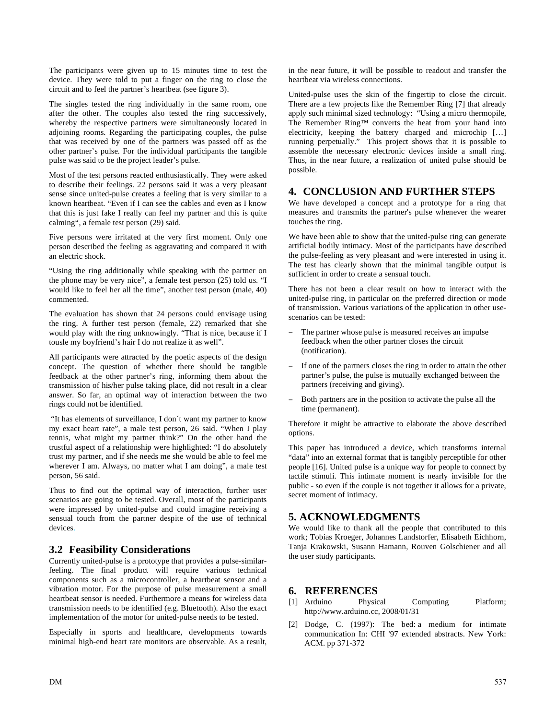The participants were given up to 15 minutes time to test the device. They were told to put a finger on the ring to close the circuit and to feel the partner's heartbeat (see figure 3).

The singles tested the ring individually in the same room, one after the other. The couples also tested the ring successively, whereby the respective partners were simultaneously located in adjoining rooms. Regarding the participating couples, the pulse that was received by one of the partners was passed off as the other partner's pulse. For the individual participants the tangible pulse was said to be the project leader's pulse.

Most of the test persons reacted enthusiastically. They were asked to describe their feelings. 22 persons said it was a very pleasant sense since united-pulse creates a feeling that is very similar to a known heartbeat. "Even if I can see the cables and even as I know that this is just fake I really can feel my partner and this is quite calming", a female test person (29) said.

Five persons were irritated at the very first moment. Only one person described the feeling as aggravating and compared it with an electric shock.

"Using the ring additionally while speaking with the partner on the phone may be very nice", a female test person (25) told us. "I would like to feel her all the time", another test person (male, 40) commented.

The evaluation has shown that 24 persons could envisage using the ring. A further test person (female, 22) remarked that she would play with the ring unknowingly. "That is nice, because if I tousle my boyfriend's hair I do not realize it as well".

All participants were attracted by the poetic aspects of the design concept. The question of whether there should be tangible feedback at the other partner's ring, informing them about the transmission of his/her pulse taking place, did not result in a clear answer. So far, an optimal way of interaction between the two rings could not be identified.

 "It has elements of surveillance, I don´t want my partner to know my exact heart rate", a male test person, 26 said. "When I play tennis, what might my partner think?" On the other hand the trustful aspect of a relationship were highlighted: "I do absolutely trust my partner, and if she needs me she would be able to feel me wherever I am. Always, no matter what I am doing", a male test person, 56 said.

Thus to find out the optimal way of interaction, further user scenarios are going to be tested. Overall, most of the participants were impressed by united-pulse and could imagine receiving a sensual touch from the partner despite of the use of technical devices.

# **3.2 Feasibility Considerations**

Currently united-pulse is a prototype that provides a pulse-similarfeeling. The final product will require various technical components such as a microcontroller, a heartbeat sensor and a vibration motor. For the purpose of pulse measurement a small heartbeat sensor is needed. Furthermore a means for wireless data transmission needs to be identified (e.g. Bluetooth). Also the exact implementation of the motor for united-pulse needs to be tested.

Especially in sports and healthcare, developments towards minimal high-end heart rate monitors are observable. As a result, in the near future, it will be possible to readout and transfer the heartbeat via wireless connections.

United-pulse uses the skin of the fingertip to close the circuit. There are a few projects like the Remember Ring [7] that already apply such minimal sized technology: "Using a micro thermopile, The Remember Ring™ converts the heat from your hand into electricity, keeping the battery charged and microchip […] running perpetually." This project shows that it is possible to assemble the necessary electronic devices inside a small ring. Thus, in the near future, a realization of united pulse should be possible.

## **4. CONCLUSION AND FURTHER STEPS**

We have developed a concept and a prototype for a ring that measures and transmits the partner's pulse whenever the wearer touches the ring.

We have been able to show that the united-pulse ring can generate artificial bodily intimacy. Most of the participants have described the pulse-feeling as very pleasant and were interested in using it. The test has clearly shown that the minimal tangible output is sufficient in order to create a sensual touch.

There has not been a clear result on how to interact with the united-pulse ring, in particular on the preferred direction or mode of transmission. Various variations of the application in other usescenarios can be tested:

- The partner whose pulse is measured receives an impulse feedback when the other partner closes the circuit (notification).
- If one of the partners closes the ring in order to attain the other partner's pulse, the pulse is mutually exchanged between the partners (receiving and giving).
- Both partners are in the position to activate the pulse all the time (permanent).

Therefore it might be attractive to elaborate the above described options.

This paper has introduced a device, which transforms internal "data" into an external format that is tangibly perceptible for other people [16]. United pulse is a unique way for people to connect by tactile stimuli. This intimate moment is nearly invisible for the public - so even if the couple is not together it allows for a private, secret moment of intimacy.

## **5. ACKNOWLEDGMENTS**

We would like to thank all the people that contributed to this work; Tobias Kroeger, Johannes Landstorfer, Elisabeth Eichhorn, Tanja Krakowski, Susann Hamann, Rouven Golschiener and all the user study participants.

## **6. REFERENCES**

- [1] Arduino Physical Computing Platform; http://www.arduino.cc, 2008/01/31
- [2] Dodge, C. (1997): The bed: a medium for intimate communication In: CHI '97 extended abstracts. New York: ACM. pp 371-372